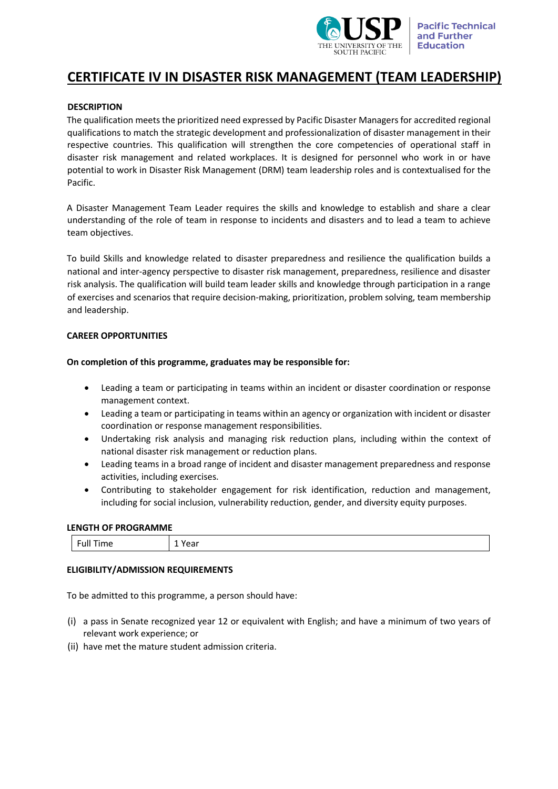

# **CERTIFICATE IV IN DISASTER RISK MANAGEMENT (TEAM LEADERSHIP)**

# **DESCRIPTION**

The qualification meets the prioritized need expressed by Pacific Disaster Managers for accredited regional qualifications to match the strategic development and professionalization of disaster management in their respective countries. This qualification will strengthen the core competencies of operational staff in disaster risk management and related workplaces. It is designed for personnel who work in or have potential to work in Disaster Risk Management (DRM) team leadership roles and is contextualised for the Pacific.

A Disaster Management Team Leader requires the skills and knowledge to establish and share a clear understanding of the role of team in response to incidents and disasters and to lead a team to achieve team objectives.

To build Skills and knowledge related to disaster preparedness and resilience the qualification builds a national and inter-agency perspective to disaster risk management, preparedness, resilience and disaster risk analysis. The qualification will build team leader skills and knowledge through participation in a range of exercises and scenarios that require decision-making, prioritization, problem solving, team membership and leadership.

# **CAREER OPPORTUNITIES**

### **On completion of this programme, graduates may be responsible for:**

- Leading a team or participating in teams within an incident or disaster coordination or response management context.
- Leading a team or participating in teams within an agency or organization with incident or disaster coordination or response management responsibilities.
- Undertaking risk analysis and managing risk reduction plans, including within the context of national disaster risk management or reduction plans.
- Leading teams in a broad range of incident and disaster management preparedness and response activities, including exercises.
- Contributing to stakeholder engagement for risk identification, reduction and management, including for social inclusion, vulnerability reduction, gender, and diversity equity purposes.

#### **LENGTH OF PROGRAMME**

| $\overline{\phantom{0}}$<br>Time<br>Ful.<br>- | . .<br>. ca. |
|-----------------------------------------------|--------------|
|-----------------------------------------------|--------------|

# **ELIGIBILITY/ADMISSION REQUIREMENTS**

To be admitted to this programme, a person should have:

- (i) a pass in Senate recognized year 12 or equivalent with English; and have a minimum of two years of relevant work experience; or
- (ii) have met the mature student admission criteria.